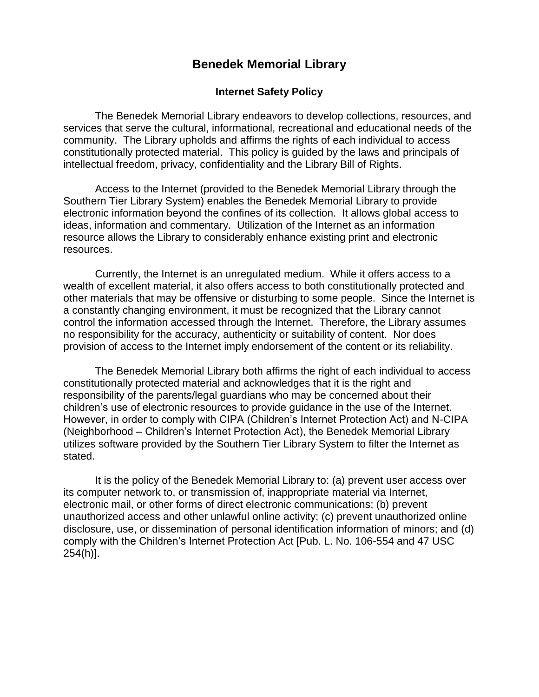# **Benedek Memorial Library**

#### **Internet Safety Policy**

The Benedek Memorial Library endeavors to develop collections, resources, and services that serve the cultural, informational, recreational and educational needs of the community. The Library upholds and affirms the rights of each individual to access constitutionally protected material. This policy is guided by the laws and principals of intellectual freedom, privacy, confidentiality and the Library Bill of Rights.

Access to the Internet (provided to the Benedek Memorial Library through the Southern Tier Library System) enables the Benedek Memorial Library to provide electronic information beyond the confines of its collection. It allows global access to ideas, information and commentary. Utilization of the Internet as an information resource allows the Library to considerably enhance existing print and electronic resources.

Currently, the Internet is an unregulated medium. While it offers access to a wealth of excellent material, it also offers access to both constitutionally protected and other materials that may be offensive or disturbing to some people. Since the Internet is a constantly changing environment, it must be recognized that the Library cannot control the information accessed through the Internet. Therefore, the Library assumes no responsibility for the accuracy, authenticity or suitability of content. Nor does provision of access to the Internet imply endorsement of the content or its reliability.

The Benedek Memorial Library both affirms the right of each individual to access constitutionally protected material and acknowledges that it is the right and responsibility of the parents/legal guardians who may be concerned about their children's use of electronic resources to provide guidance in the use of the Internet. However, in order to comply with CIPA (Children's Internet Protection Act) and N-CIPA (Neighborhood – Children's Internet Protection Act), the Benedek Memorial Library utilizes software provided by the Southern Tier Library System to filter the Internet as stated.

It is the policy of the Benedek Memorial Library to: (a) prevent user access over its computer network to, or transmission of, inappropriate material via Internet, electronic mail, or other forms of direct electronic communications; (b) prevent unauthorized access and other unlawful online activity; (c) prevent unauthorized online disclosure, use, or dissemination of personal identification information of minors; and (d) comply with the Children's Internet Protection Act [Pub. L. No. 106-554 and 47 USC 254(h)].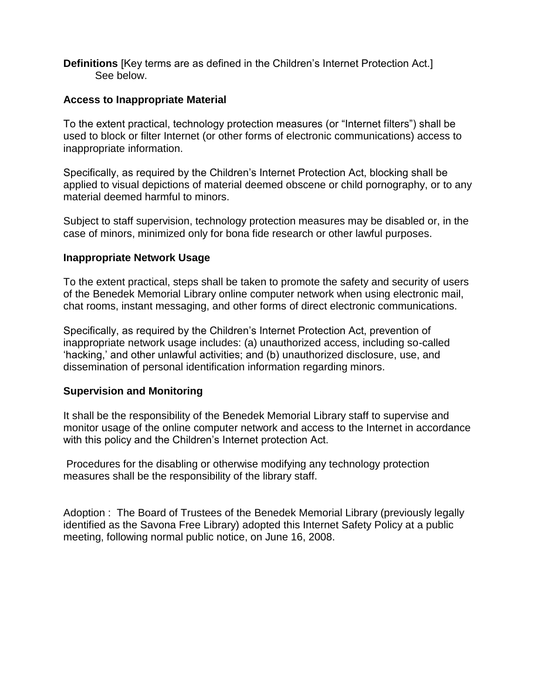**Definitions** [Key terms are as defined in the Children's Internet Protection Act.] See below.

### **Access to Inappropriate Material**

To the extent practical, technology protection measures (or "Internet filters") shall be used to block or filter Internet (or other forms of electronic communications) access to inappropriate information.

Specifically, as required by the Children's Internet Protection Act, blocking shall be applied to visual depictions of material deemed obscene or child pornography, or to any material deemed harmful to minors.

Subject to staff supervision, technology protection measures may be disabled or, in the case of minors, minimized only for bona fide research or other lawful purposes.

## **Inappropriate Network Usage**

To the extent practical, steps shall be taken to promote the safety and security of users of the Benedek Memorial Library online computer network when using electronic mail, chat rooms, instant messaging, and other forms of direct electronic communications.

Specifically, as required by the Children's Internet Protection Act, prevention of inappropriate network usage includes: (a) unauthorized access, including so-called 'hacking,' and other unlawful activities; and (b) unauthorized disclosure, use, and dissemination of personal identification information regarding minors.

#### **Supervision and Monitoring**

It shall be the responsibility of the Benedek Memorial Library staff to supervise and monitor usage of the online computer network and access to the Internet in accordance with this policy and the Children's Internet protection Act.

Procedures for the disabling or otherwise modifying any technology protection measures shall be the responsibility of the library staff.

Adoption : The Board of Trustees of the Benedek Memorial Library (previously legally identified as the Savona Free Library) adopted this Internet Safety Policy at a public meeting, following normal public notice, on June 16, 2008.